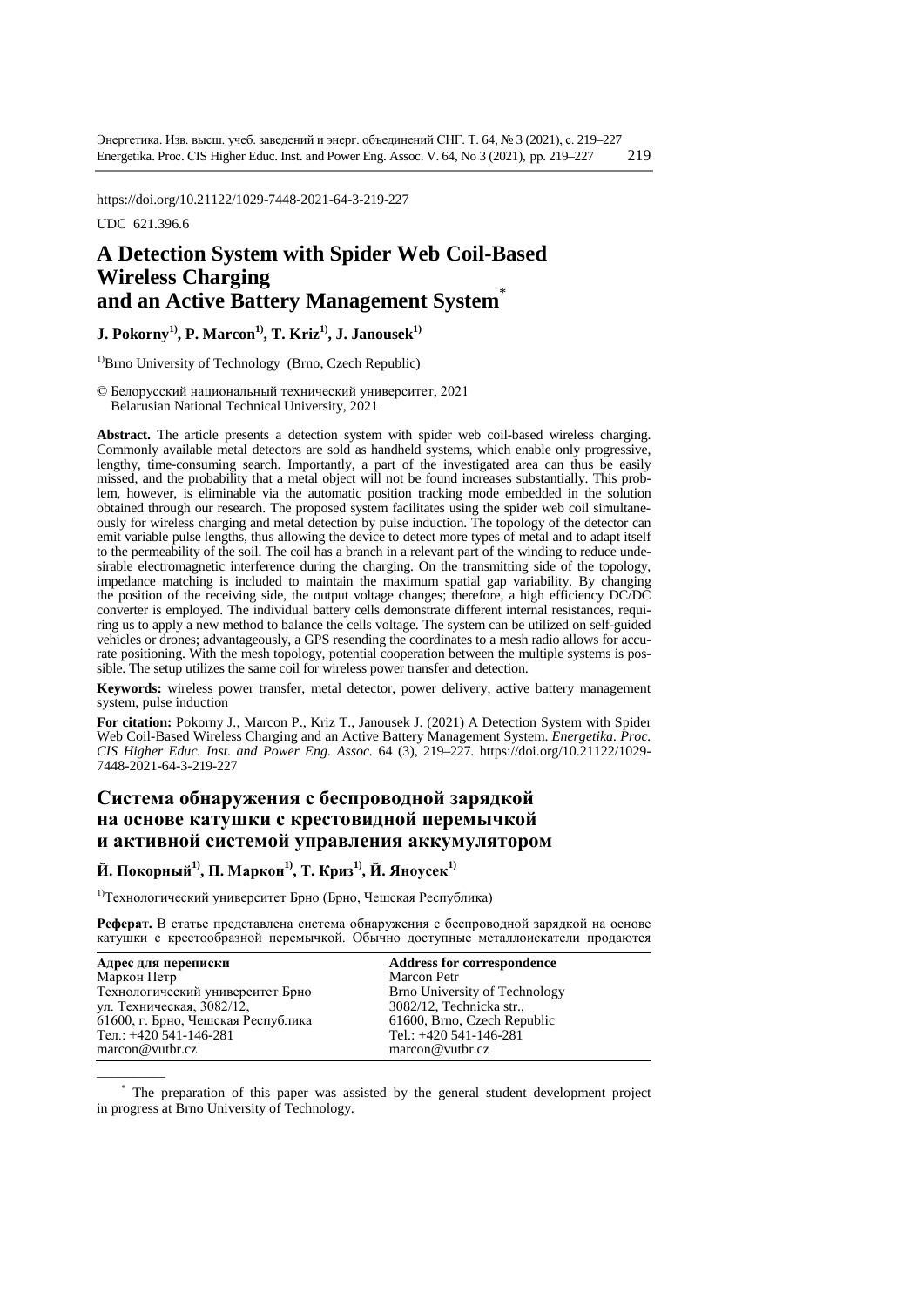https://doi.org/10.21122/1029-7448-2021-64-3-219-227

UDC 621.396.6

 $\overline{\phantom{a}}$ 

# **A Detection System with Spider Web Coil-Based Wireless Charging and an Active Battery Management System**\*

## **J. Pokorny<sup>1</sup>, <b>P.** Marcon<sup>1</sup>, **T.** Kriz<sup>1</sup>, **J.** Janousek<sup>1</sup>

 $<sup>1</sup>$ Brno University of Technology (Brno, Czech Republic)</sup>

© Белорусский национальный технический университет, 2021 Belarusian National Technical University, 2021

**Abstract.** The article presents a detection system with spider web coil-based wireless charging. Commonly available metal detectors are sold as handheld systems, which enable only progressive, lengthy, time-consuming search. Importantly, a part of the investigated area can thus be easily missed, and the probability that a metal object will not be found increases substantially. This problem, however, is eliminable via the automatic position tracking mode embedded in the solution obtained through our research. The proposed system facilitates using the spider web coil simultaneously for wireless charging and metal detection by pulse induction. The topology of the detector can emit variable pulse lengths, thus allowing the device to detect more types of metal and to adapt itself to the permeability of the soil. The coil has a branch in a relevant part of the winding to reduce undesirable electromagnetic interference during the charging. On the transmitting side of the topology, impedance matching is included to maintain the maximum spatial gap variability. By changing the position of the receiving side, the output voltage changes; therefore, a high efficiency DC/DC converter is employed. The individual battery cells demonstrate different internal resistances, requiring us to apply a new method to balance the cells voltage. The system can be utilized on self-guided vehicles or drones; advantageously, a GPS resending the coordinates to a mesh radio allows for accurate positioning. With the mesh topology, potential cooperation between the multiple systems is possible. The setup utilizes the same coil for wireless power transfer and detection.

**Keywords:** wireless power transfer, metal detector, power delivery, active battery management system, pulse induction

**For citation:** Pokorny J., Marcon P., Kriz T., Janousek J. (2021) A Detection System with Spider Web Coil-Based Wireless Charging and an Active Battery Management System. *Energetika. Proc. CIS Higher Educ. Inst. and Power Eng. Assoc.* 64 (3), 219–227. [https://doi.org/10.21122/1029-](https://doi.org/10.21122/1029-7448-2021-64-3-xx-xx) [7448-2021-64-3-219-227](https://doi.org/10.21122/1029-7448-2021-64-3-xx-xx)

# **Система обнаружения с беспроводной зарядкой на основе катушки с крестовидной перемычкой и активной системой управления аккумулятором**

**Й. Покорный1), П. Маркон1), Т. Криз1), Й. Яноусек1)**

1)Технологический университет Брно (Брно, Чешская Республика)

**Реферат.** В статье представлена система обнаружения с беспроводной зарядкой на основе катушки с крестообразной перемычкой. Обычно доступные металлоискатели продаются

| Адрес для переписки                | <b>Address for correspondence</b> |
|------------------------------------|-----------------------------------|
| Маркон Петр                        | <b>Marcon Petr</b>                |
| Технологический университет Брно   | Brno University of Technology     |
| ул. Техническая, 3082/12,          | 3082/12, Technicka str.,          |
| 61600, г. Брно, Чешская Республика | 61600, Brno, Czech Republic       |
| Тел.: $+420$ 541-146-281           | Tel.: $+420$ 541-146-281          |
| macro@vutbr.cz                     | $macro@$ vutbr.cz                 |

\* The preparation of this paper was assisted by the general student development project in progress at Brno University of Technology.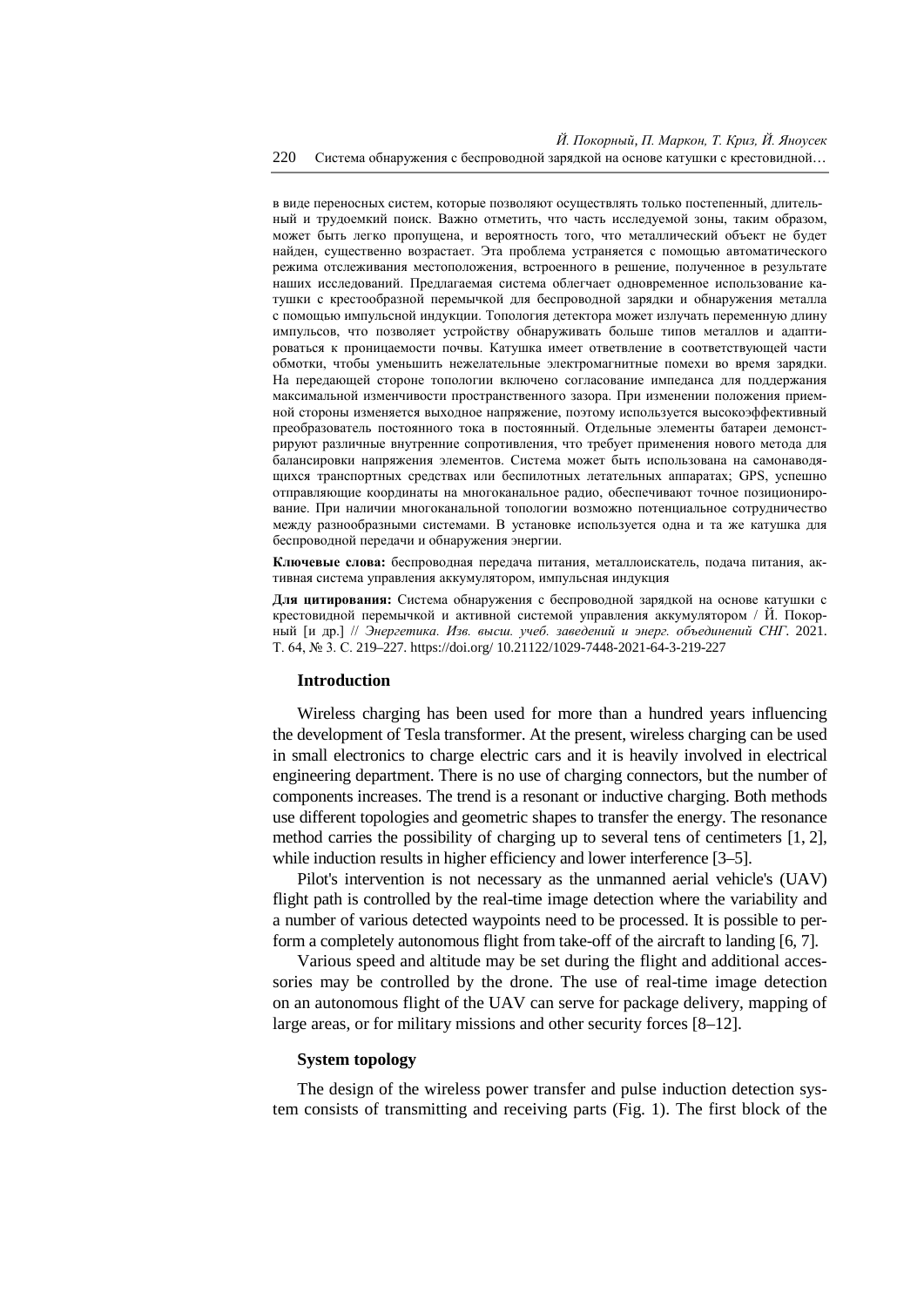в виде переносных систем, которые позволяют осуществлять только постепенный, длительный и трудоемкий поиск. Важно отметить, что часть исследуемой зоны, таким образом, может быть легко пропущена, и вероятность того, что металлический объект не будет найден, существенно возрастает. Эта проблема устраняется с помощью автоматического режима отслеживания местоположения, встроенного в решение, полученное в результате наших исследований. Предлагаемая система облегчает одновременное использование катушки с крестообразной перемычкой для беспроводной зарядки и обнаружения металла с помощью импульсной индукции. Топология детектора может излучать переменную длину импульсов, что позволяет устройству обнаруживать больше типов металлов и адаптироваться к проницаемости почвы. Катушка имеет ответвление в соответствующей части обмотки, чтобы уменьшить нежелательные электромагнитные помехи во время зарядки. На передающей стороне топологии включено согласование импеданса для поддержания максимальной изменчивости пространственного зазора. При изменении положения приемной стороны изменяется выходное напряжение, поэтому используется высокоэффективный преобразователь постоянного тока в постоянный. Отдельные элементы батареи демонстрируют различные внутренние сопротивления, что требует применения нового метода для балансировки напряжения элементов. Система может быть использована на самонаводящихся транспортных средствах или беспилотных летательных аппаратах; GPS, успешно отправляющие координаты на многоканальное радио, обеспечивают точное позиционирование. При наличии многоканальной топологии возможно потенциальное сотрудничество между разнообразными системами. В установке используется одна и та же катушка для беспроводной передачи и обнаружения энергии.

**Ключевые слова:** беспроводная передача питания, металлоискатель, подача питания, активная система управления аккумулятором, импульсная индукция

**Для цитирования:** Система обнаружения с беспроводной зарядкой на основе катушки с крестовидной перемычкой и активной системой управления аккумулятором / Й. Покорный [и др.] // *Энергетика. Изв. высш. учеб. заведений и энерг. объединений СНГ*. 2021. Т. 64, № 3. С. 219–227[. https://doi.org/](https://doi.org/%2010) 10.21122/1029-7448-2021-64-3-219-227

### **Introduction**

Wireless charging has been used for more than a hundred years influencing the development of Tesla transformer. At the present, wireless charging can be used in small electronics to charge electric cars and it is heavily involved in electrical engineering department. There is no use of charging connectors, but the number of components increases. The trend is a resonant or inductive charging. Both methods use different topologies and geometric shapes to transfer the energy. The resonance method carries the possibility of charging up to several tens of centimeters [1, 2], while induction results in higher efficiency and lower interference [3–5].

Pilot's intervention is not necessary as the unmanned aerial vehicle's (UAV) flight path is controlled by the real-time image detection where the variability and a number of various detected waypoints need to be processed. It is possible to perform a completely autonomous flight from take-off of the aircraft to landing [6, 7].

Various speed and altitude may be set during the flight and additional accessories may be controlled by the drone. The use of real-time image detection on an autonomous flight of the UAV can serve for package delivery, mapping of large areas, or for military missions and other security forces [8–12].

## **System topology**

The design of the wireless power transfer and pulse induction detection system consists of transmitting and receiving parts (Fig. 1). The first block of the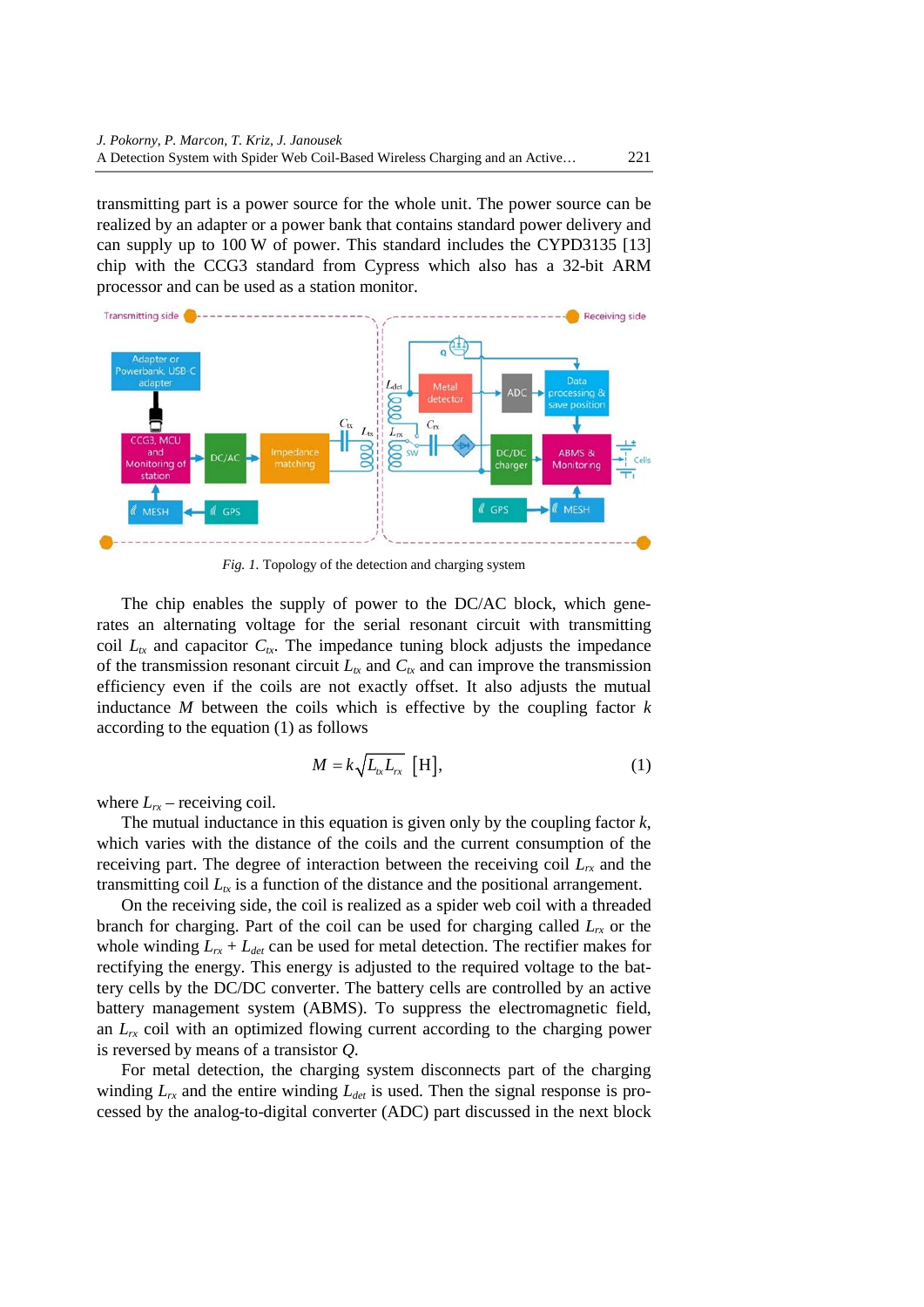transmitting part is a power source for the whole unit. The power source can be realized by an adapter or a power bank that contains standard power delivery and can supply up to 100 W of power. This standard includes the CYPD3135 [13] chip with the CCG3 standard from Cypress which also has a 32-bit ARM processor and can be used as a station monitor.



*Fig. 1.* Topology of the detection and charging system

The chip enables the supply of power to the DC/AC block, which generates an alternating voltage for the serial resonant circuit with transmitting coil  $L_{tx}$  and capacitor  $C_{tx}$ . The impedance tuning block adjusts the impedance of the transmission resonant circuit  $L_{tx}$  and  $C_{tx}$  and can improve the transmission efficiency even if the coils are not exactly offset. It also adjusts the mutual inductance  $M$  between the coils which is effective by the coupling factor  $k$ according to the equation (1) as follows

$$
M = k \sqrt{L_{tx} L_{rx}} \text{ [H]}, \tag{1}
$$

where  $L_{rx}$  – receiving coil.

The mutual inductance in this equation is given only by the coupling factor *k*, which varies with the distance of the coils and the current consumption of the receiving part. The degree of interaction between the receiving coil  $L<sub>rr</sub>$  and the transmitting coil  $L<sub>tx</sub>$  is a function of the distance and the positional arrangement.

On the receiving side, the coil is realized as a spider web coil with a threaded branch for charging. Part of the coil can be used for charging called  $L_{rr}$  or the whole winding  $L_{rx} + L_{det}$  can be used for metal detection. The rectifier makes for rectifying the energy. This energy is adjusted to the required voltage to the battery cells by the DC/DC converter. The battery cells are controlled by an active battery management system (ABMS). To suppress the electromagnetic field, an  $L_{rx}$  coil with an optimized flowing current according to the charging power is reversed by means of a transistor *Q*.

For metal detection, the charging system disconnects part of the charging winding  $L_{rx}$  and the entire winding  $L_{det}$  is used. Then the signal response is processed by the analog-to-digital converter (ADC) part discussed in the next block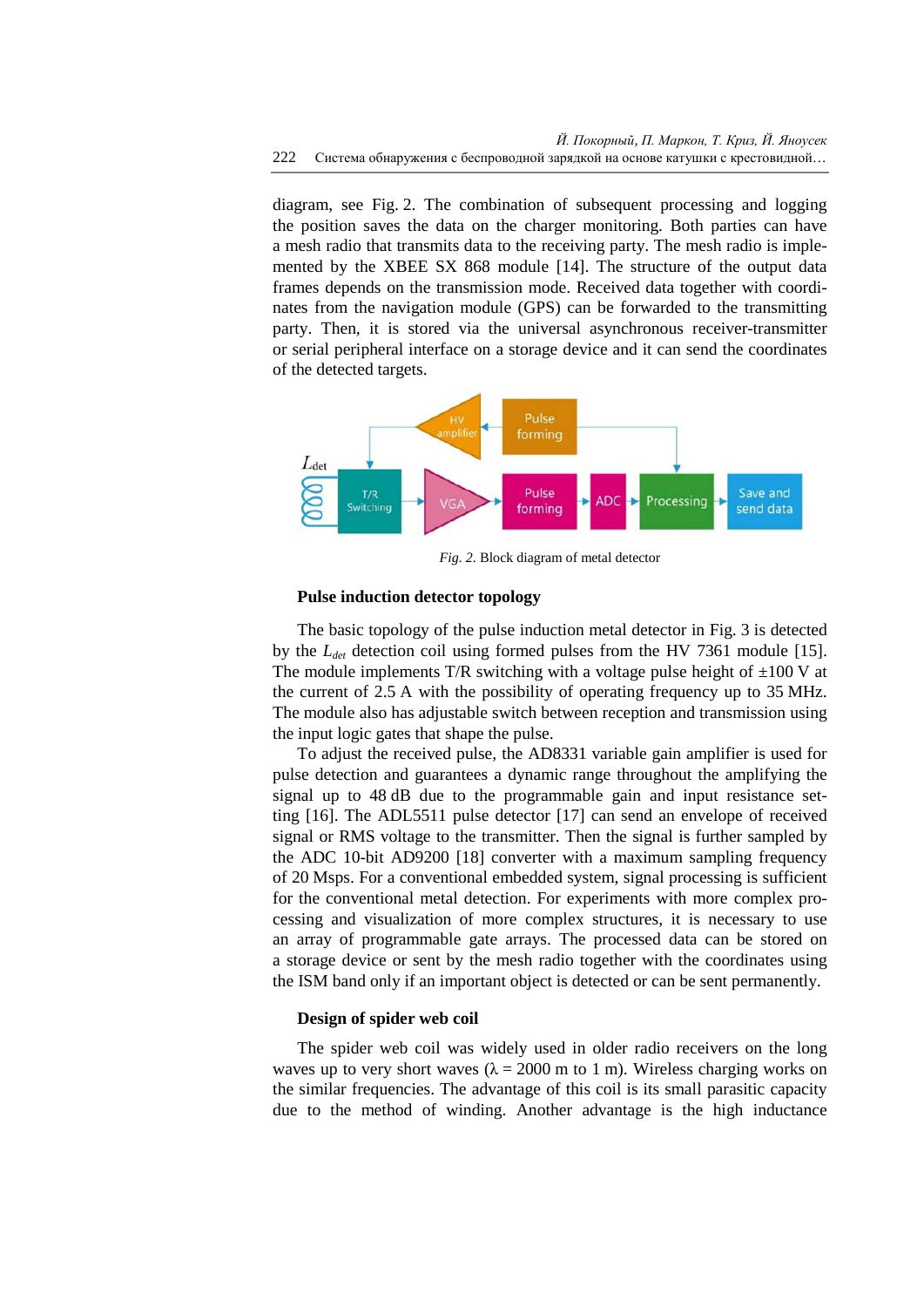diagram, see Fig. 2. The combination of subsequent processing and logging the position saves the data on the charger monitoring. Both parties can have a mesh radio that transmits data to the receiving party. The mesh radio is implemented by the XBEE SX 868 module [14]. The structure of the output data frames depends on the transmission mode. Received data together with coordinates from the navigation module (GPS) can be forwarded to the transmitting party. Then, it is stored via the universal asynchronous receiver-transmitter or serial peripheral interface on a storage device and it can send the coordinates of the detected targets.



*Fig. 2.* Block diagram of metal detector

## **Pulse induction detector topology**

The basic topology of the pulse induction metal detector in Fig. 3 is detected by the *Ldet* detection coil using formed pulses from the HV 7361 module [15]. The module implements T/R switching with a voltage pulse height of  $\pm 100$  V at the current of 2.5 A with the possibility of operating frequency up to 35 MHz. The module also has adjustable switch between reception and transmission using the input logic gates that shape the pulse.

To adjust the received pulse, the AD8331 variable gain amplifier is used for pulse detection and guarantees a dynamic range throughout the amplifying the signal up to 48 dB due to the programmable gain and input resistance setting [16]. The ADL5511 pulse detector [17] can send an envelope of received signal or RMS voltage to the transmitter. Then the signal is further sampled by the ADC 10-bit AD9200 [18] converter with a maximum sampling frequency of 20 Msps. For a conventional embedded system, signal processing is sufficient for the conventional metal detection. For experiments with more complex processing and visualization of more complex structures, it is necessary to use an array of programmable gate arrays. The processed data can be stored on a storage device or sent by the mesh radio together with the coordinates using the ISM band only if an important object is detected or can be sent permanently.

### **Design of spider web coil**

The spider web coil was widely used in older radio receivers on the long waves up to very short waves ( $\lambda = 2000$  m to 1 m). Wireless charging works on the similar frequencies. The advantage of this coil is its small parasitic capacity due to the method of winding. Another advantage is the high inductance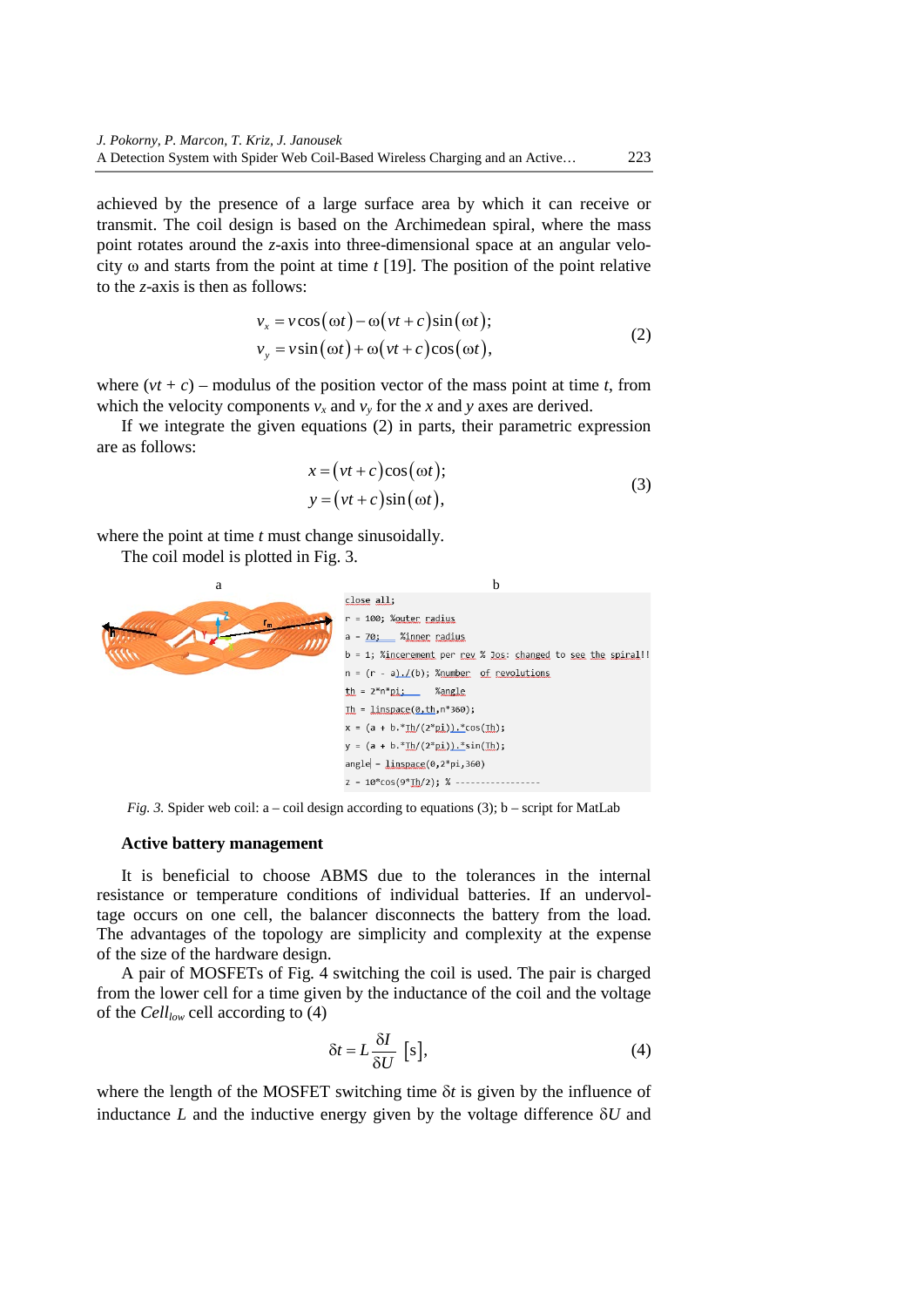achieved by the presence of a large surface area by which it can receive or transmit. The coil design is based on the Archimedean spiral, where the mass point rotates around the *z*-axis into three-dimensional space at an angular velocity ω and starts from the point at time *t* [19]. The position of the point relative to the *z*-axis is then as follows:

$$
v_x = v \cos(\omega t) - \omega (vt + c) \sin(\omega t);
$$
  
\n
$$
v_y = v \sin(\omega t) + \omega (vt + c) \cos(\omega t),
$$
\n(2)

where  $(vt + c)$  – modulus of the position vector of the mass point at time *t*, from which the velocity components  $v_x$  and  $v_y$  for the *x* and *y* axes are derived.

If we integrate the given equations (2) in parts, their parametric expression are as follows:

$$
x = (vt + c)\cos(\omega t);
$$
  
\n
$$
y = (vt + c)\sin(\omega t),
$$
\n(3)

where the point at time *t* must change sinusoidally.

The coil model is plotted in Fig. 3.



*Fig. 3.* Spider web coil:  $a - coil$  design according to equations (3);  $b - script$  for MatLab

### **Active battery management**

It is beneficial to choose ABMS due to the tolerances in the internal resistance or temperature conditions of individual batteries. If an undervoltage occurs on one cell, the balancer disconnects the battery from the load. The advantages of the topology are simplicity and complexity at the expense of the size of the hardware design.

A pair of MOSFETs of Fig. 4 switching the coil is used. The pair is charged from the lower cell for a time given by the inductance of the coil and the voltage of the *Celllow* cell according to (4)

$$
\delta t = L \frac{\delta I}{\delta U} \text{ [s],}
$$
 (4)

where the length of the MOSFET switching time δ*t* is given by the influence of inductance *L* and the inductive energy given by the voltage difference δ*U* and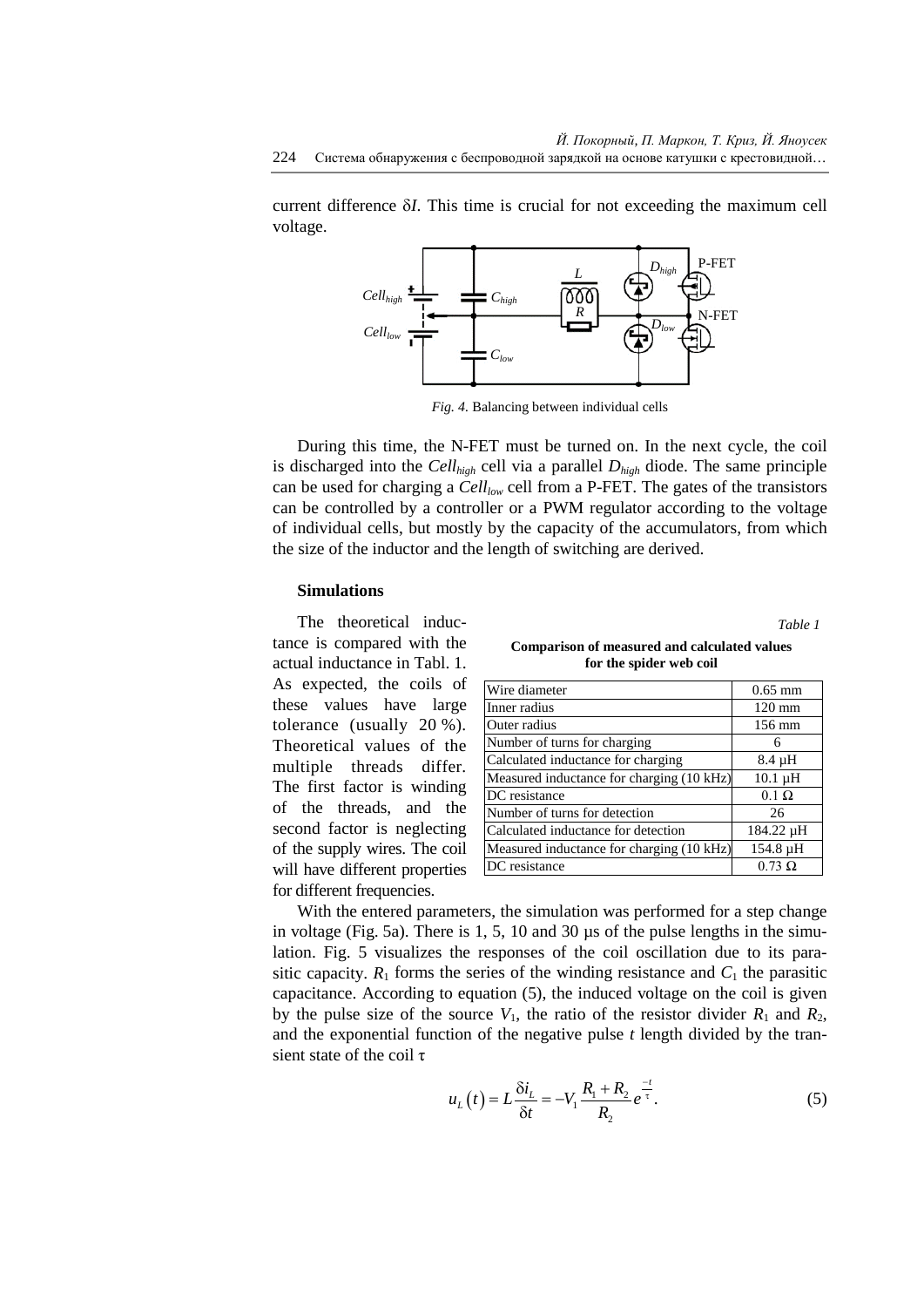current difference δ*I*. This time is crucial for not exceeding the maximum cell voltage.



*Fig. 4.* Balancing between individual cells

During this time, the N-FET must be turned on. In the next cycle, the coil is discharged into the  $Cell_{high}$  cell via a parallel  $D_{high}$  diode. The same principle can be used for charging a *Celllow* cell from a P-FET. The gates of the transistors can be controlled by a controller or a PWM regulator according to the voltage of individual cells, but mostly by the capacity of the accumulators, from which the size of the inductor and the length of switching are derived.

### **Simulations**

The theoretical inductance is compared with the actual inductance in Tabl. 1. As expected, the coils of these values have large tolerance (usually 20 %). Theoretical values of the multiple threads differ. The first factor is winding of the threads, and the second factor is neglecting of the supply wires. The coil will have different properties for different frequencies.

**Comparison of measured and calculated values for the spider web coil**

*Table 1*

| Wire diameter                             | $0.65$ mm        |
|-------------------------------------------|------------------|
| Inner radius                              | $120 \text{ mm}$ |
| Outer radius                              | 156 mm           |
| Number of turns for charging              | 6                |
| Calculated inductance for charging        | 8.4 µH           |
| Measured inductance for charging (10 kHz) | $10.1 \mu H$     |
| DC resistance                             | $0.1 \Omega$     |
| Number of turns for detection             | 26               |
| Calculated inductance for detection       | 184.22 µH        |
| Measured inductance for charging (10 kHz) | 154.8 µH         |
| DC resistance                             | $0.73 \Omega$    |

With the entered parameters, the simulation was performed for a step change in voltage (Fig. 5a). There is  $1, 5, 10$  and  $30 \mu s$  of the pulse lengths in the simulation. Fig. 5 visualizes the responses of the coil oscillation due to its parasitic capacity.  $R_1$  forms the series of the winding resistance and  $C_1$  the parasitic capacitance. According to equation (5), the induced voltage on the coil is given by the pulse size of the source  $V_1$ , the ratio of the resistor divider  $R_1$  and  $R_2$ , and the exponential function of the negative pulse *t* length divided by the transient state of the coil τ

$$
u_{L}(t) = L \frac{\delta i_{L}}{\delta t} = -V_{1} \frac{R_{1} + R_{2}}{R_{2}} e^{\frac{-t}{\tau}}.
$$
 (5)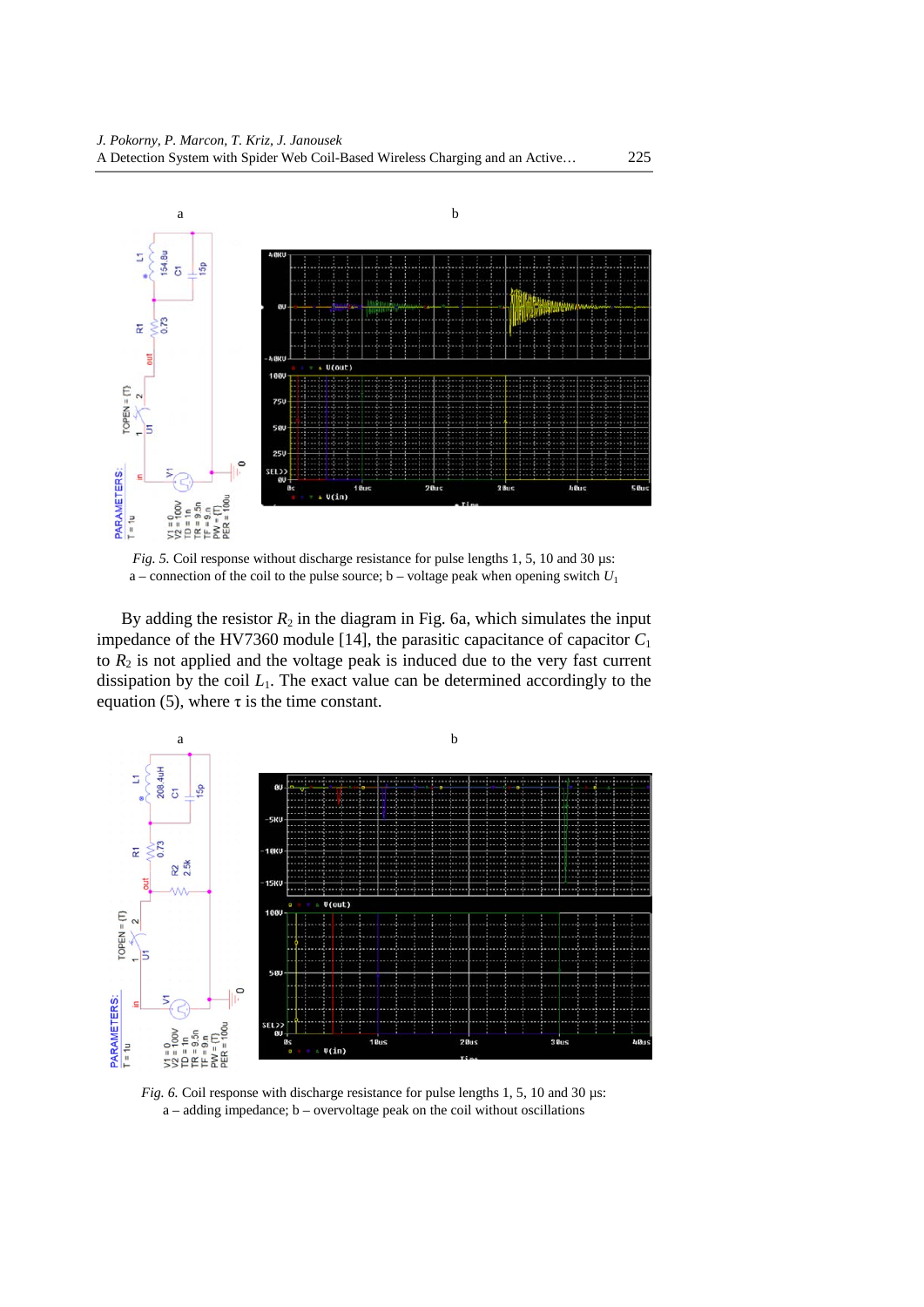

*Fig. 5.* Coil response without discharge resistance for pulse lengths 1, 5, 10 and 30 µs: a – connection of the coil to the pulse source;  $b$  – voltage peak when opening switch  $U_1$ 

By adding the resistor  $R_2$  in the diagram in Fig. 6a, which simulates the input impedance of the HV7360 module [14], the parasitic capacitance of capacitor  $C_1$ to  $R_2$  is not applied and the voltage peak is induced due to the very fast current dissipation by the coil  $L_1$ . The exact value can be determined accordingly to the equation (5), where  $\tau$  is the time constant.



*Fig. 6.* Coil response with discharge resistance for pulse lengths 1, 5, 10 and 30  $\mu$ s: a – adding impedance; b – overvoltage peak on the coil without oscillations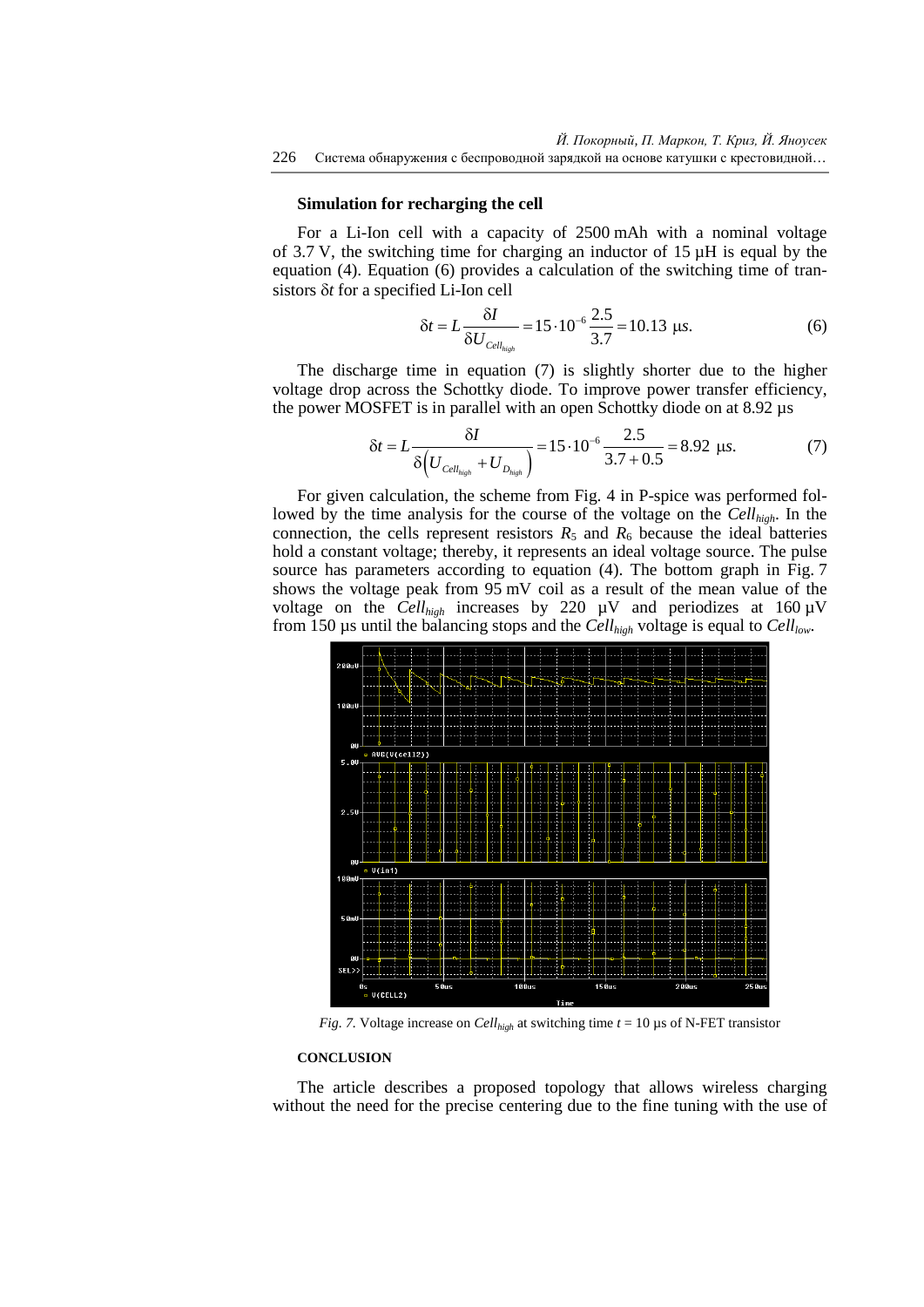#### **Simulation for recharging the cell**

For a Li-Ion cell with a capacity of 2500 mAh with a nominal voltage of 3.7 V, the switching time for charging an inductor of  $15 \mu$ H is equal by the equation (4). Equation (6) provides a calculation of the switching time of transistors δ*t* for a specified Li-Ion cell

$$
\delta t = L \frac{\delta I}{\delta U_{\text{Cell}_{\text{high}}}} = 15 \cdot 10^{-6} \frac{2.5}{3.7} = 10.13 \text{ }\mu\text{s.}
$$
 (6)

The discharge time in equation (7) is slightly shorter due to the higher voltage drop across the Schottky diode. To improve power transfer efficiency, the power MOSFET is in parallel with an open Schottky diode on at 8.92 µs

$$
\delta t = L \frac{\delta I}{\delta \left( U_{Cell_{high}} + U_{D_{high}} \right)} = 15 \cdot 10^{-6} \frac{2.5}{3.7 + 0.5} = 8.92 \text{ }\mu\text{s.}
$$
 (7)

For given calculation, the scheme from Fig. 4 in P-spice was performed followed by the time analysis for the course of the voltage on the *Cellhigh*. In the connection, the cells represent resistors  $R_5$  and  $R_6$  because the ideal batteries hold a constant voltage; thereby, it represents an ideal voltage source. The pulse source has parameters according to equation (4). The bottom graph in Fig. 7 shows the voltage peak from 95 mV coil as a result of the mean value of the voltage on the *Cell<sub>high</sub>* increases by 220  $\mu$ V and periodizes at 160  $\mu$ V from 150 µs until the balancing stops and the *Cell<sub>high</sub>* voltage is equal to *Cell*<sub>low</sub>.



*Fig.* 7. Voltage increase on *Cell<sub>high</sub>* at switching time  $t = 10 \mu s$  of N-FET transistor

#### **CONCLUSION**

The article describes a proposed topology that allows wireless charging without the need for the precise centering due to the fine tuning with the use of